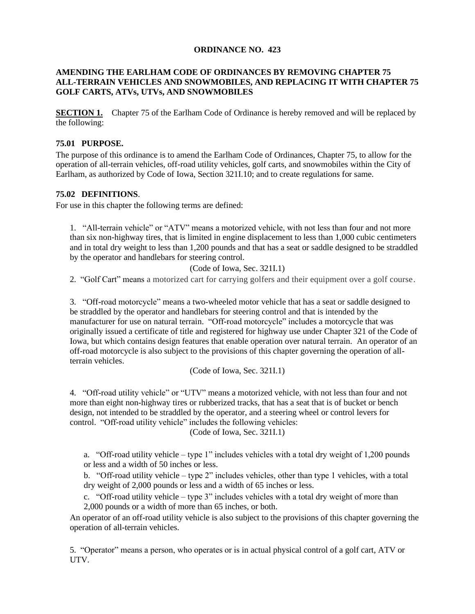### **ORDINANCE NO. 423**

# **AMENDING THE EARLHAM CODE OF ORDINANCES BY REMOVING CHAPTER 75 ALL-TERRAIN VEHICLES AND SNOWMOBILES, AND REPLACING IT WITH CHAPTER 75 GOLF CARTS, ATVs, UTVs, AND SNOWMOBILES**

**SECTION 1.** Chapter 75 of the Earlham Code of Ordinance is hereby removed and will be replaced by the following:

# **75.01 PURPOSE.**

The purpose of this ordinance is to amend the Earlham Code of Ordinances, Chapter 75, to allow for the operation of all-terrain vehicles, off-road utility vehicles, golf carts, and snowmobiles within the City of Earlham, as authorized by Code of Iowa, Section 321I.10; and to create regulations for same.

# **75.02 DEFINITIONS**.

For use in this chapter the following terms are defined:

1. "All-terrain vehicle" or "ATV" means a motorized vehicle, with not less than four and not more than six non-highway tires, that is limited in engine displacement to less than 1,000 cubic centimeters and in total dry weight to less than 1,200 pounds and that has a seat or saddle designed to be straddled by the operator and handlebars for steering control.

(Code of Iowa, Sec. 321I.1)

2. "Golf Cart" means a motorized cart for carrying golfers and their equipment over a golf course.

3. "Off-road motorcycle" means a two-wheeled motor vehicle that has a seat or saddle designed to be straddled by the operator and handlebars for steering control and that is intended by the manufacturer for use on natural terrain. "Off-road motorcycle" includes a motorcycle that was originally issued a certificate of title and registered for highway use under Chapter 321 of the Code of Iowa, but which contains design features that enable operation over natural terrain. An operator of an off-road motorcycle is also subject to the provisions of this chapter governing the operation of allterrain vehicles.

(Code of Iowa, Sec. 321I.1)

4. "Off-road utility vehicle" or "UTV" means a motorized vehicle, with not less than four and not more than eight non-highway tires or rubberized tracks, that has a seat that is of bucket or bench design, not intended to be straddled by the operator, and a steering wheel or control levers for control. "Off-road utility vehicle" includes the following vehicles:

(Code of Iowa, Sec. 321I.1)

a. "Off-road utility vehicle – type 1" includes vehicles with a total dry weight of 1,200 pounds or less and a width of 50 inches or less.

b. "Off-road utility vehicle – type 2" includes vehicles, other than type 1 vehicles, with a total dry weight of 2,000 pounds or less and a width of 65 inches or less.

c. "Off-road utility vehicle – type 3" includes vehicles with a total dry weight of more than 2,000 pounds or a width of more than 65 inches, or both.

An operator of an off-road utility vehicle is also subject to the provisions of this chapter governing the operation of all-terrain vehicles.

5. "Operator" means a person, who operates or is in actual physical control of a golf cart, ATV or UTV.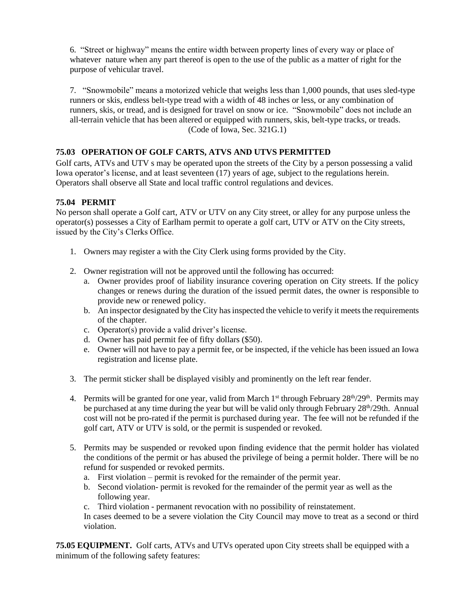6. "Street or highway" means the entire width between property lines of every way or place of whatever nature when any part thereof is open to the use of the public as a matter of right for the purpose of vehicular travel.

7. "Snowmobile" means a motorized vehicle that weighs less than 1,000 pounds, that uses sled-type runners or skis, endless belt-type tread with a width of 48 inches or less, or any combination of runners, skis, or tread, and is designed for travel on snow or ice. "Snowmobile" does not include an all-terrain vehicle that has been altered or equipped with runners, skis, belt-type tracks, or treads. (Code of Iowa, Sec. 321G.1)

# **75.03 OPERATION OF GOLF CARTS, ATVS AND UTVS PERMITTED**

Golf carts, ATVs and UTV s may be operated upon the streets of the City by a person possessing a valid Iowa operator's license, and at least seventeen (17) years of age, subject to the regulations herein. Operators shall observe all State and local traffic control regulations and devices.

# **75.04 PERMIT**

No person shall operate a Golf cart, ATV or UTV on any City street, or alley for any purpose unless the operator(s) possesses a City of Earlham permit to operate a golf cart, UTV or ATV on the City streets, issued by the City's Clerks Office.

- 1. Owners may register a with the City Clerk using forms provided by the City.
- 2. Owner registration will not be approved until the following has occurred:
	- a. Owner provides proof of liability insurance covering operation on City streets. If the policy changes or renews during the duration of the issued permit dates, the owner is responsible to provide new or renewed policy.
	- b. An inspector designated by the City has inspected the vehicle to verify it meets the requirements of the chapter.
	- c. Operator(s) provide a valid driver's license.
	- d. Owner has paid permit fee of fifty dollars (\$50).
	- e. Owner will not have to pay a permit fee, or be inspected, if the vehicle has been issued an Iowa registration and license plate.
- 3. The permit sticker shall be displayed visibly and prominently on the left rear fender.
- 4. Permits will be granted for one year, valid from March  $1<sup>st</sup>$  through February  $28<sup>th</sup>/29<sup>th</sup>$ . Permits may be purchased at any time during the year but will be valid only through February  $28<sup>th</sup>/29$ th. Annual cost will not be pro-rated if the permit is purchased during year. The fee will not be refunded if the golf cart, ATV or UTV is sold, or the permit is suspended or revoked.
- 5. Permits may be suspended or revoked upon finding evidence that the permit holder has violated the conditions of the permit or has abused the privilege of being a permit holder. There will be no refund for suspended or revoked permits.
	- a. First violation permit is revoked for the remainder of the permit year.
	- b. Second violation- permit is revoked for the remainder of the permit year as well as the following year.
	- c. Third violation permanent revocation with no possibility of reinstatement.

In cases deemed to be a severe violation the City Council may move to treat as a second or third violation.

**75.05 EQUIPMENT.** Golf carts, ATVs and UTVs operated upon City streets shall be equipped with a minimum of the following safety features: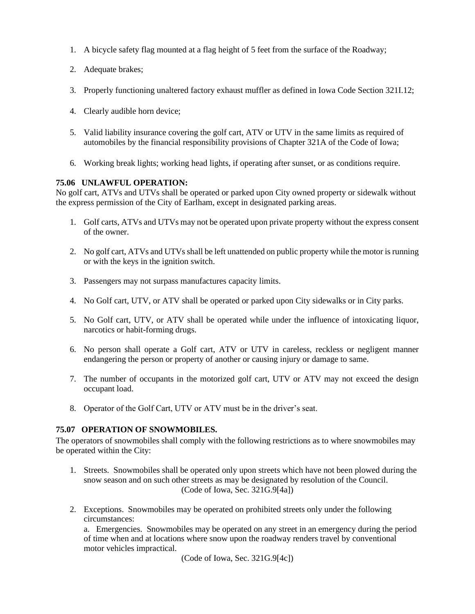- 1. A bicycle safety flag mounted at a flag height of 5 feet from the surface of the Roadway;
- 2. Adequate brakes;
- 3. Properly functioning unaltered factory exhaust muffler as defined in Iowa Code Section 321I.12;
- 4. Clearly audible horn device;
- 5. Valid liability insurance covering the golf cart, ATV or UTV in the same limits as required of automobiles by the financial responsibility provisions of Chapter 321A of the Code of Iowa;
- 6. Working break lights; working head lights, if operating after sunset, or as conditions require.

### **75.06 UNLAWFUL OPERATION:**

No golf cart, ATVs and UTVs shall be operated or parked upon City owned property or sidewalk without the express permission of the City of Earlham, except in designated parking areas.

- 1. Golf carts, ATVs and UTVs may not be operated upon private property without the express consent of the owner.
- 2. No golf cart, ATVs and UTVs shall be left unattended on public property while the motor is running or with the keys in the ignition switch.
- 3. Passengers may not surpass manufactures capacity limits.
- 4. No Golf cart, UTV, or ATV shall be operated or parked upon City sidewalks or in City parks.
- 5. No Golf cart, UTV, or ATV shall be operated while under the influence of intoxicating liquor, narcotics or habit-forming drugs.
- 6. No person shall operate a Golf cart, ATV or UTV in careless, reckless or negligent manner endangering the person or property of another or causing injury or damage to same.
- 7. The number of occupants in the motorized golf cart, UTV or ATV may not exceed the design occupant load.
- 8. Operator of the Golf Cart, UTV or ATV must be in the driver's seat.

### **75.07 OPERATION OF SNOWMOBILES.**

The operators of snowmobiles shall comply with the following restrictions as to where snowmobiles may be operated within the City:

- 1. Streets. Snowmobiles shall be operated only upon streets which have not been plowed during the snow season and on such other streets as may be designated by resolution of the Council. (Code of Iowa, Sec. 321G.9[4a])
- 2. Exceptions. Snowmobiles may be operated on prohibited streets only under the following circumstances:

a. Emergencies. Snowmobiles may be operated on any street in an emergency during the period of time when and at locations where snow upon the roadway renders travel by conventional motor vehicles impractical.

(Code of Iowa, Sec. 321G.9[4c])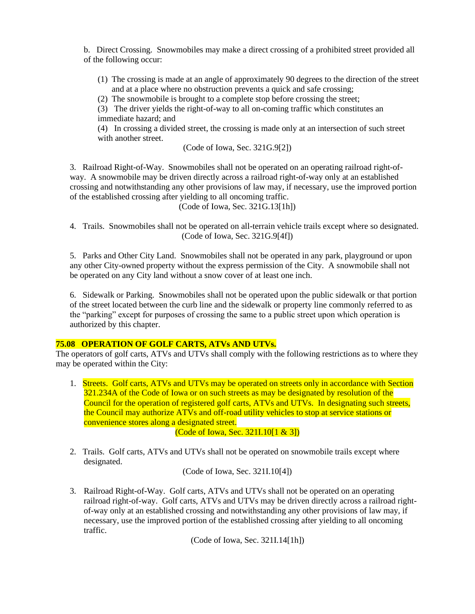b. Direct Crossing. Snowmobiles may make a direct crossing of a prohibited street provided all of the following occur:

- (1) The crossing is made at an angle of approximately 90 degrees to the direction of the street and at a place where no obstruction prevents a quick and safe crossing;
- (2) The snowmobile is brought to a complete stop before crossing the street;

(3) The driver yields the right-of-way to all on-coming traffic which constitutes an immediate hazard; and

(4) In crossing a divided street, the crossing is made only at an intersection of such street with another street.

(Code of Iowa, Sec. 321G.9[2])

3. Railroad Right-of-Way. Snowmobiles shall not be operated on an operating railroad right-ofway. A snowmobile may be driven directly across a railroad right-of-way only at an established crossing and notwithstanding any other provisions of law may, if necessary, use the improved portion of the established crossing after yielding to all oncoming traffic.

(Code of Iowa, Sec. 321G.13[1h])

4. Trails. Snowmobiles shall not be operated on all-terrain vehicle trails except where so designated. (Code of Iowa, Sec. 321G.9[4f])

5. Parks and Other City Land. Snowmobiles shall not be operated in any park, playground or upon any other City-owned property without the express permission of the City. A snowmobile shall not be operated on any City land without a snow cover of at least one inch.

6. Sidewalk or Parking. Snowmobiles shall not be operated upon the public sidewalk or that portion of the street located between the curb line and the sidewalk or property line commonly referred to as the "parking" except for purposes of crossing the same to a public street upon which operation is authorized by this chapter.

# **75.08 OPERATION OF GOLF CARTS, ATVs AND UTVs.**

The operators of golf carts, ATVs and UTVs shall comply with the following restrictions as to where they may be operated within the City:

1. Streets. Golf carts, ATVs and UTVs may be operated on streets only in accordance with Section 321.234A of the Code of Iowa or on such streets as may be designated by resolution of the Council for the operation of registered golf carts, ATVs and UTVs. In designating such streets, the Council may authorize ATVs and off-road utility vehicles to stop at service stations or convenience stores along a designated street.

(Code of Iowa, Sec. 321I.10[1 & 3])

2. Trails. Golf carts, ATVs and UTVs shall not be operated on snowmobile trails except where designated.

(Code of Iowa, Sec. 321I.10[4])

3. Railroad Right-of-Way. Golf carts, ATVs and UTVs shall not be operated on an operating railroad right-of-way. Golf carts, ATVs and UTVs may be driven directly across a railroad rightof-way only at an established crossing and notwithstanding any other provisions of law may, if necessary, use the improved portion of the established crossing after yielding to all oncoming traffic.

(Code of Iowa, Sec. 321I.14[1h])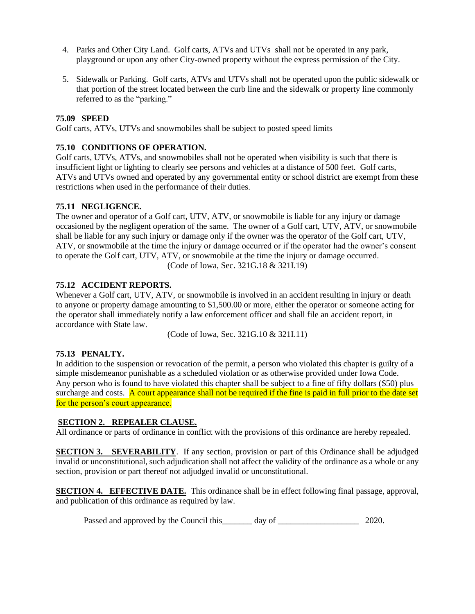- 4. Parks and Other City Land. Golf carts, ATVs and UTVs shall not be operated in any park, playground or upon any other City-owned property without the express permission of the City.
- 5. Sidewalk or Parking. Golf carts, ATVs and UTVs shall not be operated upon the public sidewalk or that portion of the street located between the curb line and the sidewalk or property line commonly referred to as the "parking."

# **75.09 SPEED**

Golf carts, ATVs, UTVs and snowmobiles shall be subject to posted speed limits

# **75.10 CONDITIONS OF OPERATION.**

Golf carts, UTVs, ATVs, and snowmobiles shall not be operated when visibility is such that there is insufficient light or lighting to clearly see persons and vehicles at a distance of 500 feet. Golf carts, ATVs and UTVs owned and operated by any governmental entity or school district are exempt from these restrictions when used in the performance of their duties.

# **75.11 NEGLIGENCE.**

The owner and operator of a Golf cart, UTV, ATV, or snowmobile is liable for any injury or damage occasioned by the negligent operation of the same. The owner of a Golf cart, UTV, ATV, or snowmobile shall be liable for any such injury or damage only if the owner was the operator of the Golf cart, UTV, ATV, or snowmobile at the time the injury or damage occurred or if the operator had the owner's consent to operate the Golf cart, UTV, ATV, or snowmobile at the time the injury or damage occurred. (Code of Iowa, Sec. 321G.18 & 321I.19)

### **75.12 ACCIDENT REPORTS.**

Whenever a Golf cart, UTV, ATV, or snowmobile is involved in an accident resulting in injury or death to anyone or property damage amounting to \$1,500.00 or more, either the operator or someone acting for the operator shall immediately notify a law enforcement officer and shall file an accident report, in accordance with State law.

(Code of Iowa, Sec. 321G.10 & 321I.11)

### **75.13 PENALTY.**

In addition to the suspension or revocation of the permit, a person who violated this chapter is guilty of a simple misdemeanor punishable as a scheduled violation or as otherwise provided under Iowa Code. Any person who is found to have violated this chapter shall be subject to a fine of fifty dollars (\$50) plus surcharge and costs. A court appearance shall not be required if the fine is paid in full prior to the date set for the person's court appearance.

### **SECTION 2. REPEALER CLAUSE.**

All ordinance or parts of ordinance in conflict with the provisions of this ordinance are hereby repealed.

**SECTION 3. SEVERABILITY**. If any section, provision or part of this Ordinance shall be adjudged invalid or unconstitutional, such adjudication shall not affect the validity of the ordinance as a whole or any section, provision or part thereof not adjudged invalid or unconstitutional.

**SECTION 4. EFFECTIVE DATE.** This ordinance shall be in effect following final passage, approval, and publication of this ordinance as required by law.

Passed and approved by the Council this\_\_\_\_\_\_ day of \_\_\_\_\_\_\_\_\_\_\_\_\_\_\_\_\_\_\_\_\_\_\_ 2020.